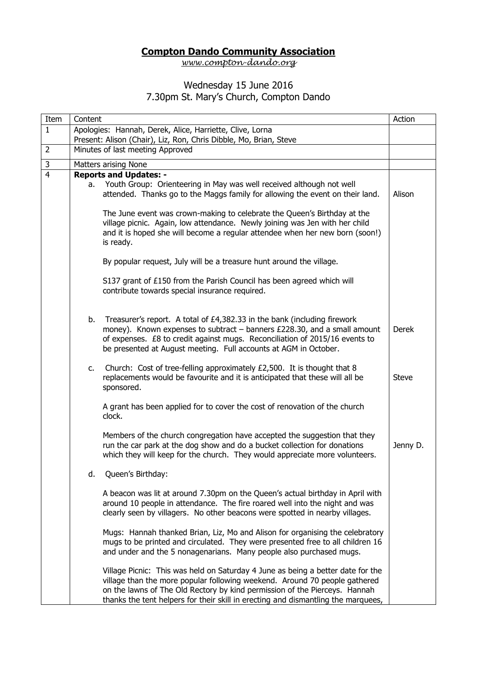## **Compton Dando Community Association**

*[www.compton-dando.org](http://www.compton-dando.org/)*

## Wednesday 15 June 2016 7.30pm St. Mary's Church, Compton Dando

| Item           | Content              |                                                                                                                                                                                                                                                                                                                                  | Action       |
|----------------|----------------------|----------------------------------------------------------------------------------------------------------------------------------------------------------------------------------------------------------------------------------------------------------------------------------------------------------------------------------|--------------|
| $\mathbf{1}$   |                      | Apologies: Hannah, Derek, Alice, Harriette, Clive, Lorna                                                                                                                                                                                                                                                                         |              |
|                |                      | Present: Alison (Chair), Liz, Ron, Chris Dibble, Mo, Brian, Steve                                                                                                                                                                                                                                                                |              |
| $\overline{2}$ |                      | Minutes of last meeting Approved                                                                                                                                                                                                                                                                                                 |              |
| $\overline{3}$ | Matters arising None |                                                                                                                                                                                                                                                                                                                                  |              |
| $\overline{4}$ | а.                   | <b>Reports and Updates: -</b><br>Youth Group: Orienteering in May was well received although not well<br>attended. Thanks go to the Maggs family for allowing the event on their land.                                                                                                                                           | Alison       |
|                |                      | The June event was crown-making to celebrate the Queen's Birthday at the<br>village picnic. Again, low attendance. Newly joining was Jen with her child<br>and it is hoped she will become a regular attendee when her new born (soon!)<br>is ready.                                                                             |              |
|                |                      | By popular request, July will be a treasure hunt around the village.                                                                                                                                                                                                                                                             |              |
|                |                      | S137 grant of £150 from the Parish Council has been agreed which will<br>contribute towards special insurance required.                                                                                                                                                                                                          |              |
|                | b.                   | Treasurer's report. A total of £4,382.33 in the bank (including firework<br>money). Known expenses to subtract - banners £228.30, and a small amount<br>of expenses. £8 to credit against mugs. Reconciliation of 2015/16 events to<br>be presented at August meeting. Full accounts at AGM in October.                          | Derek        |
|                | $c_{\cdot}$          | Church: Cost of tree-felling approximately £2,500. It is thought that 8<br>replacements would be favourite and it is anticipated that these will all be<br>sponsored.                                                                                                                                                            | <b>Steve</b> |
|                |                      | A grant has been applied for to cover the cost of renovation of the church<br>clock.                                                                                                                                                                                                                                             |              |
|                |                      | Members of the church congregation have accepted the suggestion that they<br>run the car park at the dog show and do a bucket collection for donations<br>which they will keep for the church. They would appreciate more volunteers.                                                                                            | Jenny D.     |
|                | d.                   | Queen's Birthday:                                                                                                                                                                                                                                                                                                                |              |
|                |                      | A beacon was lit at around 7.30pm on the Queen's actual birthday in April with<br>around 10 people in attendance. The fire roared well into the night and was<br>clearly seen by villagers. No other beacons were spotted in nearby villages.                                                                                    |              |
|                |                      | Mugs: Hannah thanked Brian, Liz, Mo and Alison for organising the celebratory<br>mugs to be printed and circulated. They were presented free to all children 16<br>and under and the 5 nonagenarians. Many people also purchased mugs.                                                                                           |              |
|                |                      | Village Picnic: This was held on Saturday 4 June as being a better date for the<br>village than the more popular following weekend. Around 70 people gathered<br>on the lawns of The Old Rectory by kind permission of the Pierceys. Hannah<br>thanks the tent helpers for their skill in erecting and dismantling the marquees, |              |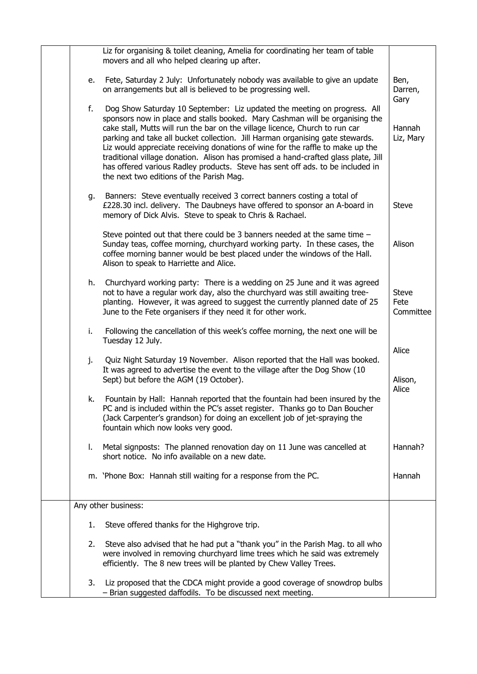|    | Liz for organising & toilet cleaning, Amelia for coordinating her team of table<br>movers and all who helped clearing up after.                                                                                                                                                                                                                                                                                                                                                                                                                                                                                                 |                                   |
|----|---------------------------------------------------------------------------------------------------------------------------------------------------------------------------------------------------------------------------------------------------------------------------------------------------------------------------------------------------------------------------------------------------------------------------------------------------------------------------------------------------------------------------------------------------------------------------------------------------------------------------------|-----------------------------------|
| e. | Fete, Saturday 2 July: Unfortunately nobody was available to give an update<br>on arrangements but all is believed to be progressing well.                                                                                                                                                                                                                                                                                                                                                                                                                                                                                      | Ben,<br>Darren,<br>Gary           |
| f. | Dog Show Saturday 10 September: Liz updated the meeting on progress. All<br>sponsors now in place and stalls booked. Mary Cashman will be organising the<br>cake stall, Mutts will run the bar on the village licence, Church to run car<br>parking and take all bucket collection. Jill Harman organising gate stewards.<br>Liz would appreciate receiving donations of wine for the raffle to make up the<br>traditional village donation. Alison has promised a hand-crafted glass plate, Jill<br>has offered various Radley products. Steve has sent off ads. to be included in<br>the next two editions of the Parish Mag. | Hannah<br>Liz, Mary               |
|    | g. Banners: Steve eventually received 3 correct banners costing a total of<br>£228.30 incl. delivery. The Daubneys have offered to sponsor an A-board in<br>memory of Dick Alvis. Steve to speak to Chris & Rachael.                                                                                                                                                                                                                                                                                                                                                                                                            | <b>Steve</b>                      |
|    | Steve pointed out that there could be 3 banners needed at the same time -<br>Sunday teas, coffee morning, churchyard working party. In these cases, the<br>coffee morning banner would be best placed under the windows of the Hall.<br>Alison to speak to Harriette and Alice.                                                                                                                                                                                                                                                                                                                                                 | Alison                            |
| h. | Churchyard working party: There is a wedding on 25 June and it was agreed<br>not to have a regular work day, also the churchyard was still awaiting tree-<br>planting. However, it was agreed to suggest the currently planned date of 25<br>June to the Fete organisers if they need it for other work.                                                                                                                                                                                                                                                                                                                        | <b>Steve</b><br>Fete<br>Committee |
| i. | Following the cancellation of this week's coffee morning, the next one will be<br>Tuesday 12 July.                                                                                                                                                                                                                                                                                                                                                                                                                                                                                                                              |                                   |
| j. | Quiz Night Saturday 19 November. Alison reported that the Hall was booked.<br>It was agreed to advertise the event to the village after the Dog Show (10<br>Sept) but before the AGM (19 October).                                                                                                                                                                                                                                                                                                                                                                                                                              | Alice<br>Alison,<br>Alice         |
| k. | Fountain by Hall: Hannah reported that the fountain had been insured by the<br>PC and is included within the PC's asset register. Thanks go to Dan Boucher<br>(Jack Carpenter's grandson) for doing an excellent job of jet-spraying the<br>fountain which now looks very good.                                                                                                                                                                                                                                                                                                                                                 |                                   |
| L. | Metal signposts: The planned renovation day on 11 June was cancelled at<br>short notice. No info available on a new date.                                                                                                                                                                                                                                                                                                                                                                                                                                                                                                       | Hannah?                           |
|    | m. 'Phone Box: Hannah still waiting for a response from the PC.                                                                                                                                                                                                                                                                                                                                                                                                                                                                                                                                                                 | Hannah                            |
|    | Any other business:                                                                                                                                                                                                                                                                                                                                                                                                                                                                                                                                                                                                             |                                   |
| 1. | Steve offered thanks for the Highgrove trip.                                                                                                                                                                                                                                                                                                                                                                                                                                                                                                                                                                                    |                                   |
| 2. | Steve also advised that he had put a "thank you" in the Parish Mag. to all who<br>were involved in removing churchyard lime trees which he said was extremely<br>efficiently. The 8 new trees will be planted by Chew Valley Trees.                                                                                                                                                                                                                                                                                                                                                                                             |                                   |
| 3. | Liz proposed that the CDCA might provide a good coverage of snowdrop bulbs<br>- Brian suggested daffodils. To be discussed next meeting.                                                                                                                                                                                                                                                                                                                                                                                                                                                                                        |                                   |